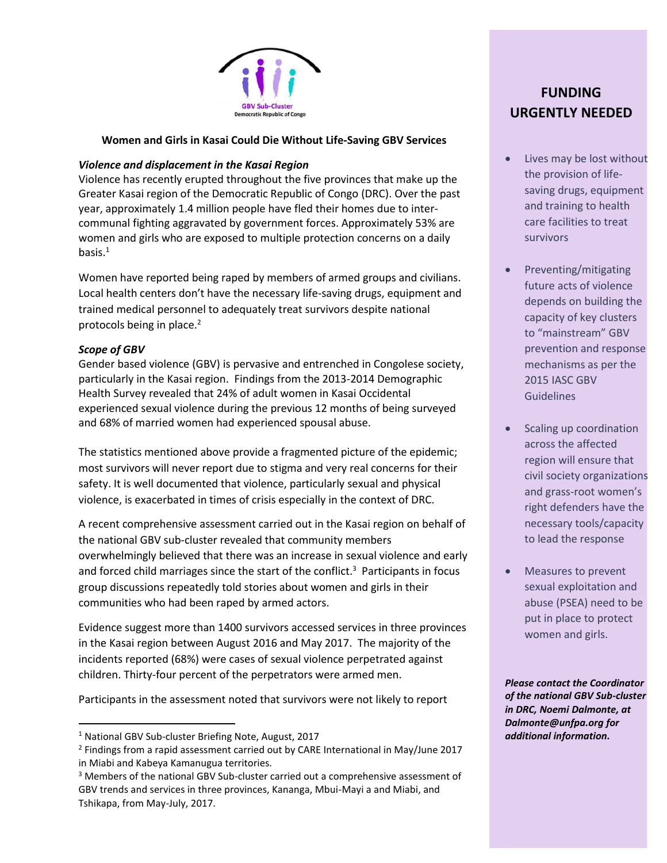

## **Women and Girls in Kasai Could Die Without Life-Saving GBV Services**

### *Violence and displacement in the Kasai Region*

Violence has recently erupted throughout the five provinces that make up the Greater Kasai region of the Democratic Republic of Congo (DRC). Over the past year, approximately 1.4 million people have fled their homes due to intercommunal fighting aggravated by government forces. Approximately 53% are women and girls who are exposed to multiple protection concerns on a daily basis. $^1$ 

Women have reported being raped by members of armed groups and civilians. Local health centers don't have the necessary life-saving drugs, equipment and trained medical personnel to adequately treat survivors despite national protocols being in place.<sup>2</sup>

#### *Scope of GBV*

Gender based violence (GBV) is pervasive and entrenched in Congolese society, particularly in the Kasai region. Findings from the 2013-2014 Demographic Health Survey revealed that 24% of adult women in Kasai Occidental experienced sexual violence during the previous 12 months of being surveyed and 68% of married women had experienced spousal abuse.

The statistics mentioned above provide a fragmented picture of the epidemic; most survivors will never report due to stigma and very real concerns for their safety. It is well documented that violence, particularly sexual and physical violence, is exacerbated in times of crisis especially in the context of DRC.

A recent comprehensive assessment carried out in the Kasai region on behalf of the national GBV sub-cluster revealed that community members overwhelmingly believed that there was an increase in sexual violence and early and forced child marriages since the start of the conflict.<sup>3</sup> Participants in focus group discussions repeatedly told stories about women and girls in their communities who had been raped by armed actors.

Evidence suggest more than 1400 survivors accessed services in three provinces in the Kasai region between August 2016 and May 2017. The majority of the incidents reported (68%) were cases of sexual violence perpetrated against children. Thirty-four percent of the perpetrators were armed men.

Participants in the assessment noted that survivors were not likely to report

 

# **FUNDING URGENTLY NEEDED**

- Lives may be lost without the provision of lifesaving drugs, equipment and training to health care facilities to treat survivors
- Preventing/mitigating future acts of violence depends on building the capacity of key clusters to "mainstream" GBV prevention and response mechanisms as per the 2015 IASC GBV **Guidelines**
- Scaling up coordination across the affected region will ensure that civil society organizations and grass-root women's right defenders have the necessary tools/capacity to lead the response
- Measures to prevent sexual exploitation and abuse (PSEA) need to be put in place to protect women and girls.

**Please contact the Coordinator** of the national GBV Sub-cluster *in DRC, Noemi Dalmonte, at* Dalmonte@unfpa.org for *additional information.*

 $1$  National GBV Sub-cluster Briefing Note, August, 2017

 $2$  Findings from a rapid assessment carried out by CARE International in May/June 2017 in Miabi and Kabeya Kamanugua territories.

 $3$  Members of the national GBV Sub-cluster carried out a comprehensive assessment of GBV trends and services in three provinces, Kananga, Mbui-Mayi a and Miabi, and Tshikapa, from May-July, 2017.